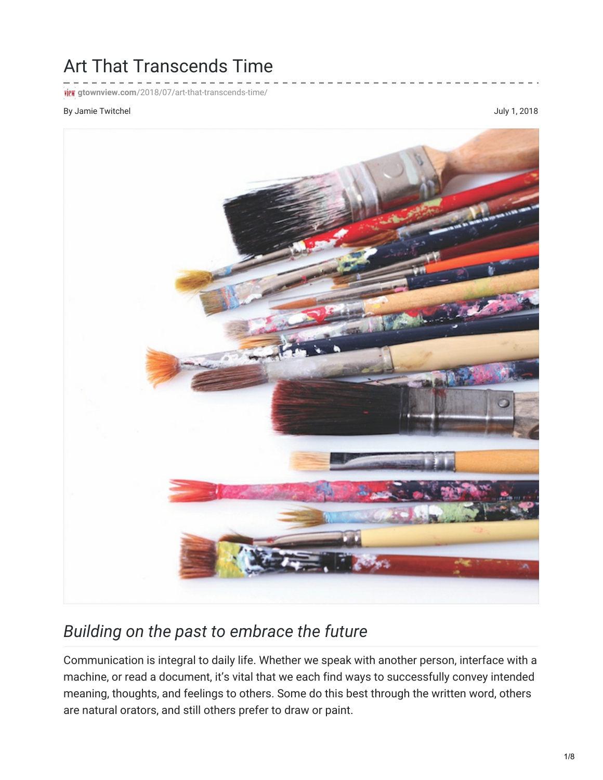## Art That Transcends Time

**FICK** gtownview.com[/2018/07/art-that-transcends-time/](http://gtownview.com/2018/07/art-that-transcends-time/)

## By Jamie Twitchel and the settlement of the settlement of the settlement of the settlement of the settlement of the settlement of the settlement of the settlement of the settlement of the settlement of the settlement of th



## *Building on the past to embrace the future*

Communication is integral to daily life. Whether we speak with another person, interface with a machine, or read a document, it's vital that we each find ways to successfully convey intended meaning, thoughts, and feelings to others. Some do this best through the written word, others are natural orators, and still others prefer to draw or paint.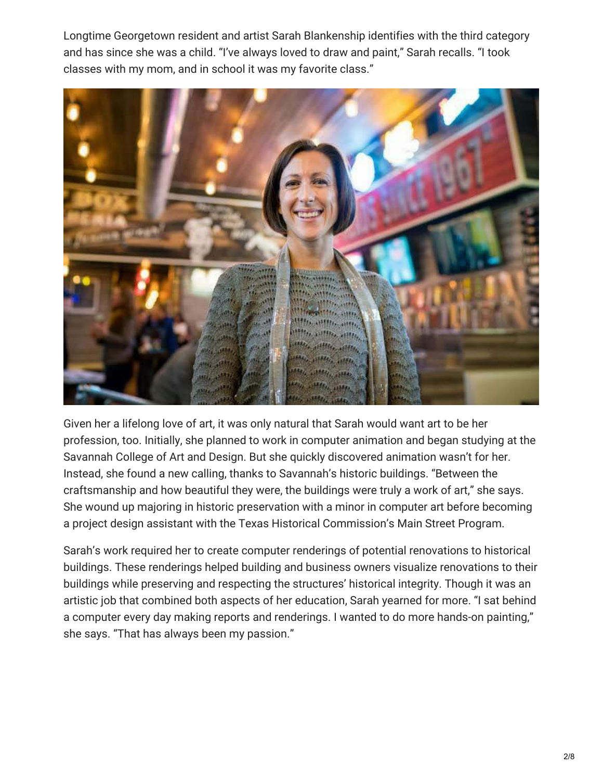Longtime Georgetown resident and artist Sarah Blankenship identifies with the third category and has since she was a child. "I've always loved to draw and paint," Sarah recalls. "I took classes with my mom, and in school it was my favorite class."



Given her a lifelong love of art, it was only natural that Sarah would want art to be her profession, too. Initially, she planned to work in computer animation and began studying at the Savannah College of Art and Design. But she quickly discovered animation wasn't for her. Instead, she found a new calling, thanks to Savannah's historic buildings. "Between the craftsmanship and how beautiful they were, the buildings were truly a work of art," she says. She wound up majoring in historic preservation with a minor in computer art before becoming a project design assistant with the Texas Historical Commission's Main Street Program.

Sarah's work required her to create computer renderings of potential renovations to historical buildings. These renderings helped building and business owners visualize renovations to their buildings while preserving and respecting the structures' historical integrity. Though it was an artistic job that combined both aspects of her education, Sarah yearned for more. "I sat behind a computer every day making reports and renderings. I wanted to do more hands-on painting," she says. "That has always been my passion."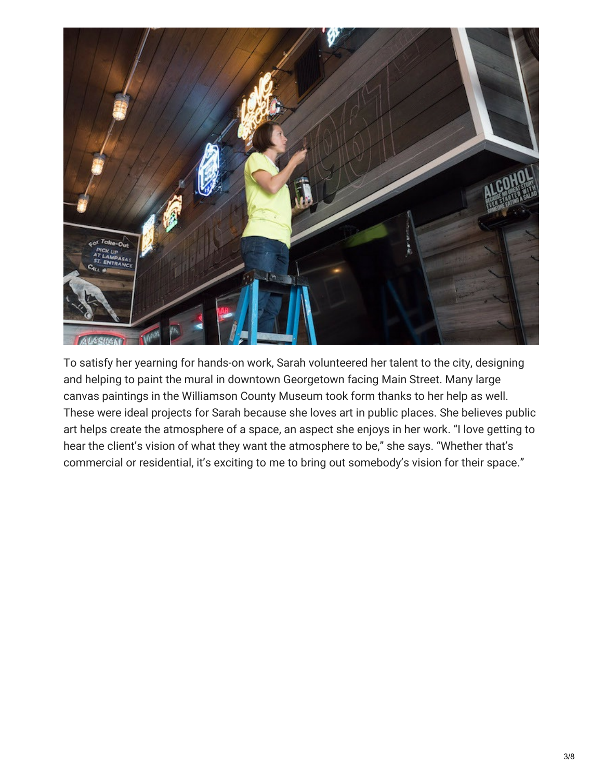

To satisfy her yearning for hands-on work, Sarah volunteered her talent to the city, designing and helping to paint the mural in downtown Georgetown facing Main Street. Many large canvas paintings in the Williamson County Museum took form thanks to her help as well. These were ideal projects for Sarah because she loves art in public places. She believes public art helps create the atmosphere of a space, an aspect she enjoys in her work. "I love getting to hear the client's vision of what they want the atmosphere to be," she says. "Whether that's commercial or residential, it's exciting to me to bring out somebody's vision for their space."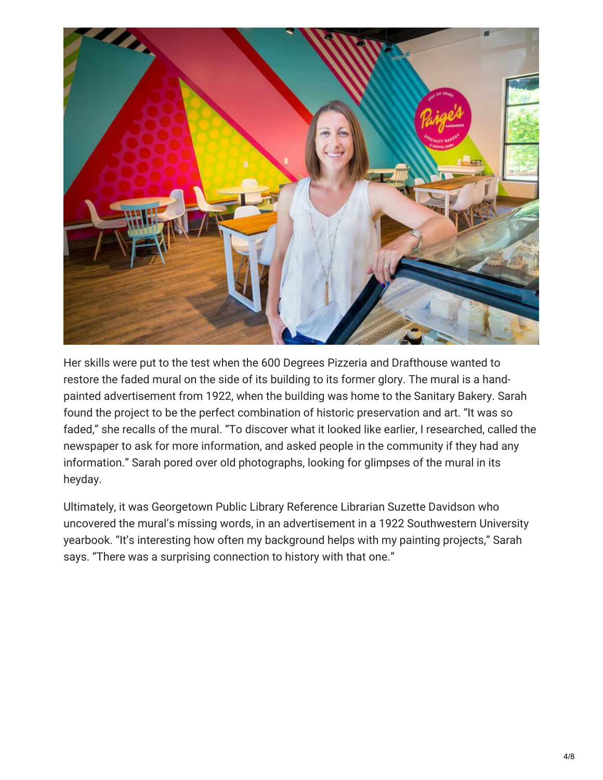

Her skills were put to the test when the 600 Degrees Pizzeria and Drafthouse wanted to restore the faded mural on the side of its building to its former glory. The mural is a handpainted advertisement from 1922, when the building was home to the Sanitary Bakery. Sarah found the project to be the perfect combination of historic preservation and art. "It was so faded," she recalls of the mural. "To discover what it looked like earlier, I researched, called the newspaper to ask for more information, and asked people in the community if they had any information." Sarah pored over old photographs, looking for glimpses of the mural in its heyday.

Ultimately, it was Georgetown Public Library Reference Librarian Suzette Davidson who uncovered the mural's missing words, in an advertisement in a 1922 Southwestern University yearbook. "It's interesting how often my background helps with my painting projects," Sarah says. "There was a surprising connection to history with that one."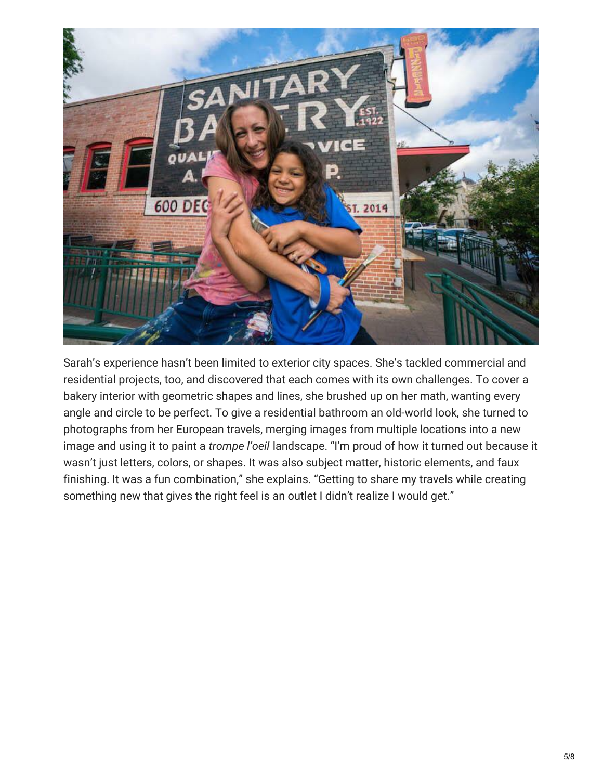

Sarah's experience hasn't been limited to exterior city spaces. She's tackled commercial and residential projects, too, and discovered that each comes with its own challenges. To cover a bakery interior with geometric shapes and lines, she brushed up on her math, wanting every angle and circle to be perfect. To give a residential bathroom an old-world look, she turned to photographs from her European travels, merging images from multiple locations into a new image and using it to paint a *trompe l'oeil* landscape. "I'm proud of how it turned out because it wasn't just letters, colors, or shapes. It was also subject matter, historic elements, and faux finishing. It was a fun combination," she explains. "Getting to share my travels while creating something new that gives the right feel is an outlet I didn't realize I would get."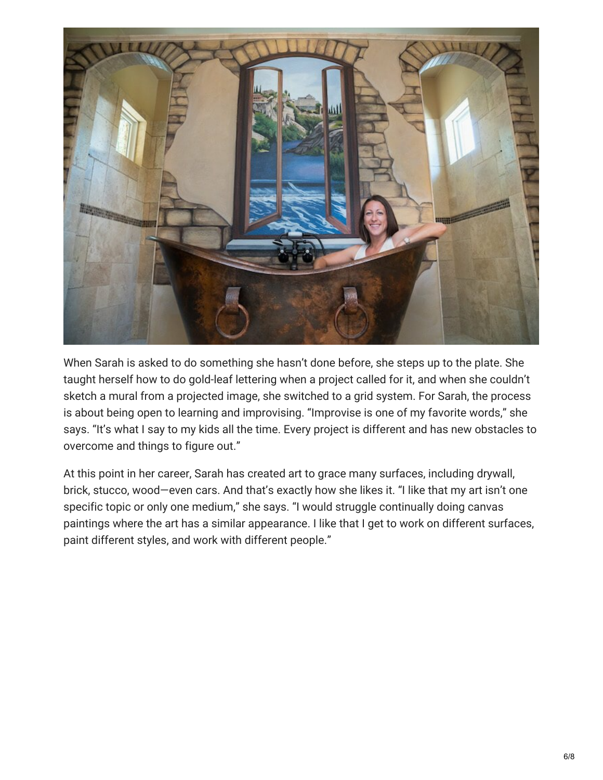

When Sarah is asked to do something she hasn't done before, she steps up to the plate. She taught herself how to do gold-leaf lettering when a project called for it, and when she couldn't sketch a mural from a projected image, she switched to a grid system. For Sarah, the process is about being open to learning and improvising. "Improvise is one of my favorite words," she says. "It's what I say to my kids all the time. Every project is different and has new obstacles to overcome and things to figure out."

At this point in her career, Sarah has created art to grace many surfaces, including drywall, brick, stucco, wood—even cars. And that's exactly how she likes it. "I like that my art isn't one specific topic or only one medium," she says. "I would struggle continually doing canvas paintings where the art has a similar appearance. I like that I get to work on different surfaces, paint different styles, and work with different people."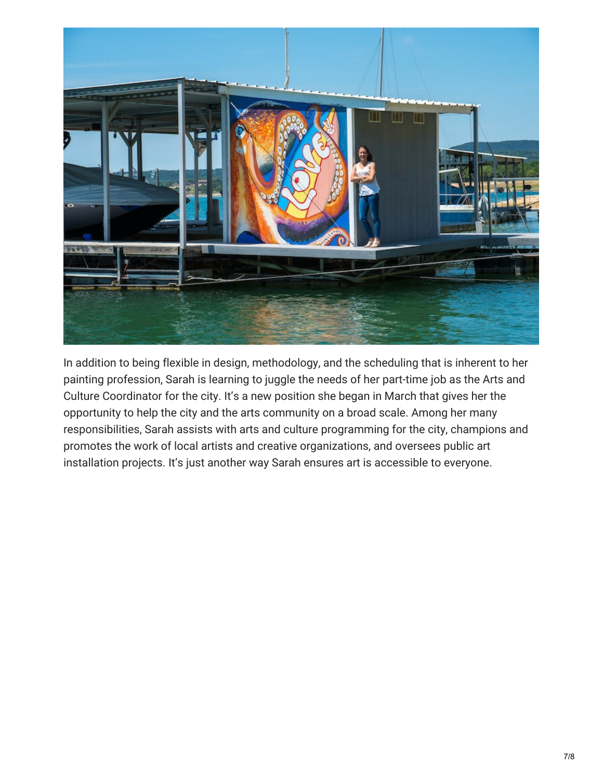

In addition to being flexible in design, methodology, and the scheduling that is inherent to her painting profession, Sarah is learning to juggle the needs of her part-time job as the Arts and Culture Coordinator for the city. It's a new position she began in March that gives her the opportunity to help the city and the arts community on a broad scale. Among her many responsibilities, Sarah assists with arts and culture programming for the city, champions and promotes the work of local artists and creative organizations, and oversees public art installation projects. It's just another way Sarah ensures art is accessible to everyone.